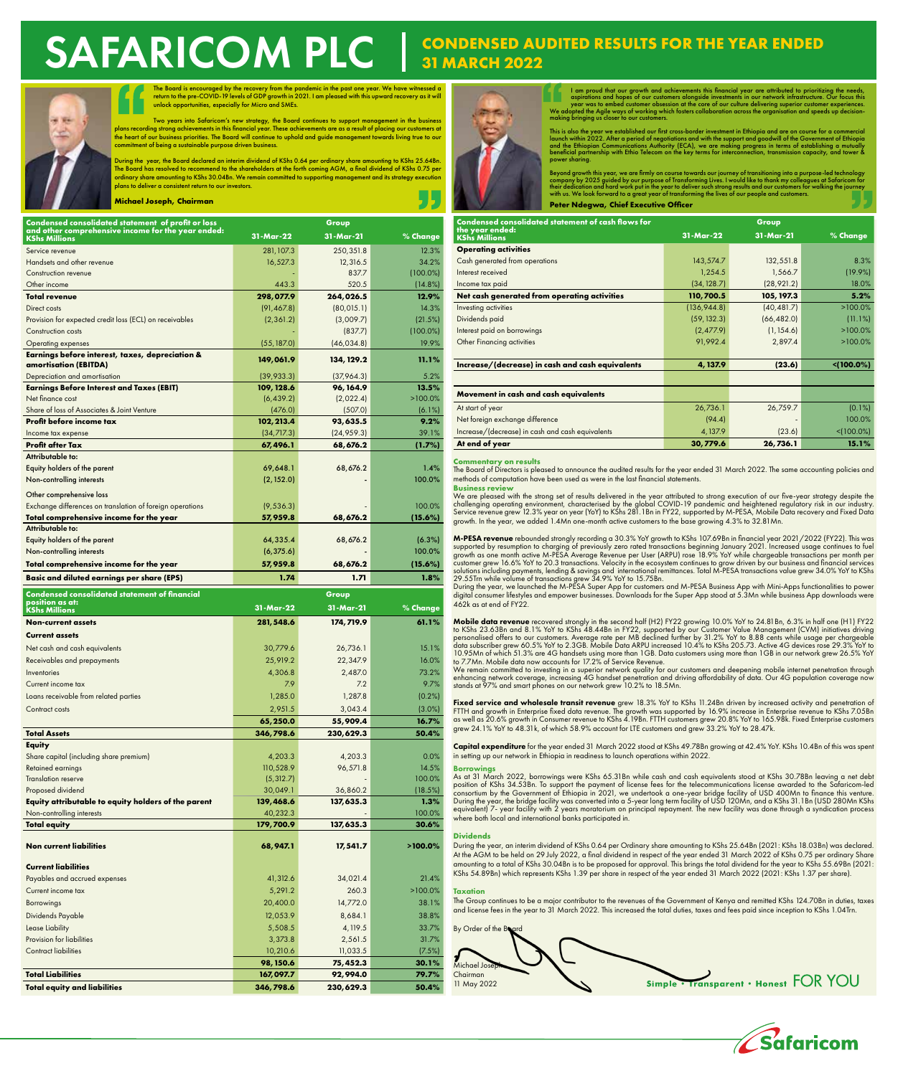# **SE WHO**

The Board is encouraged by the recovery from the pandemic in the past one year. We have witnessed a<br>return to the pre-COVID-19 levels of GDP growth in 2021. I am pleased with this upward recovery as it will<br>unlock opportun

Two years into Safaricom's new strategy, the Board continues to support management in the business<br>plans recording strong achievements in this financial year. These achievements are as a result of placing our customers at<br> commitment of being a sustainable purpose driven business.

During the year, the Board declared an interim dividend of KShs 0.64 per ordinary share amounting to KShs 25.64Bn.<br>The Board has resolved to recommend to the shareholders at the forth coming AGM, a final dividend of KShs 0 plans to deliver a consistent return to our investors.

**Michael Joseph, Chairman**

| Condensed consolidated statement of profit or loss                         | Group       |             |             |
|----------------------------------------------------------------------------|-------------|-------------|-------------|
| and other comprehensive income for the year ended:<br><b>KShs Millions</b> | 31-Mar-22   | 31-Mar-21   | % Change    |
| Service revenue                                                            | 281, 107.3  | 250,351.8   | 12.3%       |
| Handsets and other revenue                                                 | 16,527.3    | 12,316.5    | 34.2%       |
| Construction revenue                                                       |             | 837.7       | $(100.0\%)$ |
| Other income                                                               | 443.3       | 520.5       | (14.8%)     |
| <b>Total revenue</b>                                                       | 298,077.9   | 264,026.5   | 12.9%       |
| Direct costs                                                               | (91, 467.8) | (80, 015.1) | 14.3%       |
| Provision for expected credit loss (ECL) on receivables                    | (2, 361.2)  | (3,009.7)   | (21.5%)     |
| <b>Construction costs</b>                                                  |             | (837.7)     | $(100.0\%)$ |
| <b>Operating expenses</b>                                                  |             | (46, 034.8) | 19.9%       |
|                                                                            | (55, 187.0) |             |             |
| Earnings before interest, taxes, depreciation &<br>amortisation (EBITDA)   | 149,061.9   | 134, 129.2  | 11.1%       |
| Depreciation and amortisation                                              | (39, 933.3) | (37,964.3)  | 5.2%        |
| <b>Earnings Before Interest and Taxes (EBIT)</b>                           | 109, 128.6  | 96, 164.9   | 13.5%       |
| Net finance cost                                                           | (6, 439.2)  | (2,022.4)   | $>100.0\%$  |
| Share of loss of Associates & Joint Venture                                | (476.0)     | (507.0)     | (6.1%)      |
| Profit before income tax                                                   | 102, 213.4  | 93,635.5    | 9.2%        |
| Income tax expense                                                         | (34, 717.3) | (24, 959.3) | 39.1%       |
| <b>Profit after Tax</b>                                                    | 67, 496.1   | 68,676.2    | (1.7%)      |
| Attributable to:                                                           |             |             |             |
| Equity holders of the parent                                               | 69,648.1    | 68,676.2    | 1.4%        |
| Non-controlling interests                                                  | (2, 152.0)  |             | 100.0%      |
|                                                                            |             |             |             |
| Other comprehensive loss                                                   |             |             |             |
| Exchange differences on translation of foreign operations                  | (9, 536.3)  |             | 100.0%      |
| Total comprehensive income for the year                                    | 57,959.8    | 68,676.2    | (15.6%)     |
| Attributable to:                                                           |             |             |             |
| Equity holders of the parent                                               | 64,335.4    | 68,676.2    | (6.3%)      |
| Non-controlling interests                                                  | (6, 375.6)  |             | 100.0%      |
| Total comprehensive income for the year                                    | 57,959.8    | 68, 676.2   | (15.6%)     |
| <b>Basic and diluted earnings per share (EPS)</b>                          | 1.74        | 1.71        | 1.8%        |
| <b>Condensed consolidated statement of financial</b>                       |             | Group       |             |
| position as at:                                                            |             |             |             |
|                                                                            |             |             |             |
| <b>KShs Millions</b>                                                       | 31-Mar-22   | 31-Mar-21   | % Change    |
| <b>Non-current assets</b>                                                  | 281, 548.6  | 174, 719.9  | 61.1%       |
| <b>Current assets</b>                                                      |             |             |             |
| Net cash and cash equivalents                                              | 30,779.6    | 26,736.1    | 15.1%       |
| Receivables and prepayments                                                | 25,919.2    | 22,347.9    | 16.0%       |
| Inventories                                                                | 4,306.8     | 2,487.0     | 73.2%       |
| Current income tax                                                         | 7.9         | 7.2         | 9.7%        |
| Loans receivable from related parties                                      | 1,285.0     | 1,287.8     | (0.2%)      |
| Contract costs                                                             | 2,951.5     | 3,043.4     | $(3.0\%)$   |
|                                                                            | 65,250.0    | 55,909.4    | 16.7%       |
| Total Assets                                                               | 346.798.6   | 230.629.3   | 50.4%       |
|                                                                            |             |             |             |
| Equity<br>Share capital (including share premium)                          | 4,203.3     | 4,203.3     | 0.0%        |
| Retained earnings                                                          | 110,528.9   | 96,571.8    | 14.5%       |
| <b>Translation reserve</b>                                                 | (5, 312.7)  |             | 100.0%      |
| Proposed dividend                                                          | 30,049.1    | 36,860.2    | (18.5%)     |
| Equity attributable to equity holders of the parent                        | 139, 468.6  | 137, 635.3  | 1.3%        |
| Non-controlling interests                                                  | 40,232.3    |             | 100.0%      |
| <b>Total equity</b>                                                        | 179, 700.9  | 137, 635.3  | 30.6%       |
|                                                                            |             |             |             |
| <b>Non current liabilities</b>                                             | 68,947.1    | 17, 541.7   | $>100.0\%$  |
|                                                                            |             |             |             |
| <b>Current liabilities</b>                                                 |             |             |             |
| Payables and accrued expenses                                              | 41,312.6    | 34,021.4    | 21.4%       |
| Current income tax                                                         | 5,291.2     | 260.3       | $>100.0\%$  |
| Borrowings                                                                 | 20,400.0    | 14,772.0    | 38.1%       |
| Dividends Payable                                                          | 12,053.9    | 8,684.1     | 38.8%       |
| Lease Liability                                                            | 5,508.5     | 4, 119.5    | 33.7%       |
| Provision for liabilities                                                  | 3,373.8     | 2,561.5     | 31.7%       |
| <b>Contract liabilities</b>                                                | 10,210.6    | 11,033.5    | (7.5%)      |
|                                                                            | 98, 150.6   | 75, 452.3   | 30.1%       |
| <b>Total Liabilities</b>                                                   | 167,097.7   | 92, 994.0   | 79.7%       |

# SAFARICOM PLC **CONDENSED AUDITED RESULTS FOR THE YEAR ENDED 31MARCH 2022**



I am proud that our growth and achievements this financial year are attributed to prioritizing the needs, aspirations and hopes of our customers alongside investments in our network infrastructure. Our focus this year was

This is also the year we established our first cross-border investment in Ethiopia and are on course for a commercial<br>launch within 2022. After a period of negotiations and with the support and goodwill of the Government o

Beyond growth this year, we are firmly on course towards our journey of transitioning into a purpose-led technology<br>company by 2025 guided by our purpose of Transforming Lives. I would like to thank my colleagues at Safari **Peter Ndegwa, Chief Executive Officer**

| <b>Condensed consolidated statement of cash flows for</b> | Group        |             |                  |
|-----------------------------------------------------------|--------------|-------------|------------------|
| the year ended:<br><b>KShs Millions</b>                   | 31-Mar-22    | 31-Mar-21   | % Change         |
| <b>Operating activities</b>                               |              |             |                  |
| Cash generated from operations                            | 143,574.7    | 132,551.8   | 8.3%             |
| Interest received                                         | 1,254.5      | 1,566.7     | $(19.9\%)$       |
| Income tax paid                                           | (34, 128.7)  | (28, 921.2) | 18.0%            |
| Net cash generated from operating activities              | 110,700.5    | 105, 197.3  | 5.2%             |
| Investing activities                                      | (136, 944.8) | (40, 481.7) | $>100.0\%$       |
| Dividends paid                                            | (59, 132.3)  | (66, 482.0) | (11.1%)          |
| Interest paid on borrowings                               | (2, 477.9)   | (1, 154.6)  | $>100.0\%$       |
| Other Financing activities                                | 91,992.4     | 2,897.4     | $>100.0\%$       |
|                                                           |              |             |                  |
| Increase/(decrease) in cash and cash equivalents          | 4, 137.9     | (23.6)      | $\leq (100.0\%)$ |
|                                                           |              |             |                  |
| Movement in cash and cash equivalents                     |              |             |                  |
| At start of year                                          | 26,736.1     | 26,759.7    | $(0.1\%)$        |
| Net foreign exchange difference                           | (94.4)       |             | 100.0%           |
| Increase/(decrease) in cash and cash equivalents          | 4,137.9      | (23.6)      | $< (100.0\%)$    |
| At end of year                                            | 30,779.6     | 26,736.1    | 15.1%            |

### **Commentary on results**

The Board of Directors is pleased to announce the audited results for the year ended 31 March 2022. The same accounting policies and methods of computation have been used as were in the last financial statements. **Business review**

We are pleased with the strong set of results delivered in the year attributed to strong execution of our five-year strategy despite the challenging operating environment, characterised by the global COVID-19 pandemic and heightened regulatory risk in our industry.<br>Service revenue grew 12.3% year on year (YoY) to KShs 281.1Bn in FY22, supported by M-PESA, M growth. In the year, we added 1.4Mn one-month active customers to the base growing 4.3% to 32.81Mn.

M-PESA revenu**e** rebounded strongly recording a 30.3% YoY growth to KShs 107.69Bn in financial year 2021/2022 (FY22). This was supported by resumption to charging of previously zero rated transactions beginning January 2021. Increased usage continues to fuel growth as one month active M-PESA Average Revenue per User (ARPU) rose 18,9% YoY while cha

462k as at end of FY22.

Mobile data revenue recovered strongly in the second half (H2) FY22 growing 10.0% YoY to 24.81 Bn, 6.3% in half one (H1) FY22 presonalised offers to our customers. Average rate per MB declined further by 31.2% YoY to 24.81

**Fixed service and wholesale transit revenue** grew 18.3% YoY to KShs 11.24Bn driven by increased activity and penetration of<br>FTTH and growth in Enterprise fixed data revenue. The growth was supported by 16.9% increase in E grew 24.1% YoY to 48.31k, of which 58.9% account for LTE customers and grew 33.2% YoY to 28.47k.

Capital expenditure for the year ended 31 March 2022 stood at KShs 49.78Bn growing at 42.4% YoY. KShs 10.4Bn of this was spent in setting up our network in Ethiopia in readiness to launch operations within 2022.

### **Borrowings**

As at 31 March 2022, borrowings were KShs 65.31Bn while cash and cash equivalents stood at KShs 30.78Bn leaving a net debt<br>position of KShs 34.53Bn. To support the payment of license fees for the telecommunications license where both local and international banks participated in.

## **Dividends**

During the year, an interim dividend of KShs 0.64 per Ordinary share amounting to KShs 25.64Bn (2021: KShs 18.03Bn) was declared. At the AGM to be held on 29 July 2022, a final dividend in respect of the year ended 31 March 2022 of KShs 0.75 per ordinary Share amounting to a total of KShs 30.04Bn is to be proposed for approval. This brings the total dividend for the year to KShs 55.69Bn (2021: KShs 54.89Bn) which represents KShs 1.39 per share in respect of the year ended 31 March 2022 (2021: KShs 1.37 per share).

### Taxation

The Group continues to be a major contributor to the revenues of the Government of Kenya and remitted KShs 124.70Bn in duties, taxes and license fees in the year to 31 March 2022. This increased the total duties, taxes and fees paid since inception to KShs 1.04Trn.

By Order of the B Michael Jo Chairman Simple • Transparent • Honest FOR YOU 11 May 2022